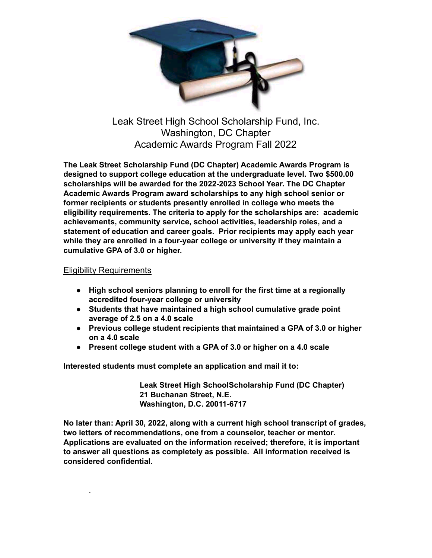

Leak Street High School Scholarship Fund, Inc. Washington, DC Chapter Academic Awards Program Fall 2022

**The Leak Street Scholarship Fund (DC Chapter) Academic Awards Program is designed to support college education at the undergraduate level. Two \$500.00 scholarships will be awarded for the 2022-2023 School Year. The DC Chapter Academic Awards Program award scholarships to any high school senior or former recipients or students presently enrolled in college who meets the eligibility requirements. The criteria to apply for the scholarships are: academic achievements, community service, school activities, leadership roles, and a statement of education and career goals. Prior recipients may apply each year while they are enrolled in a four-year college or university if they maintain a cumulative GPA of 3.0 or higher.**

## Eligibility Requirements

.

- **High school seniors planning to enroll for the first time at a regionally accredited four-year college or university**
- **Students that have maintained a high school cumulative grade point average of 2.5 on a 4.0 scale**
- **Previous college student recipients that maintained a GPA of 3.0 or higher on a 4.0 scale**
- **Present college student with a GPA of 3.0 or higher on a 4.0 scale**

**Interested students must complete an application and mail it to:**

**Leak Street High SchoolScholarship Fund (DC Chapter) 21 Buchanan Street, N.E. Washington, D.C. 20011-6717**

**No later than: April 30, 2022, along with a current high school transcript of grades, two letters of recommendations, one from a counselor, teacher or mentor. Applications are evaluated on the information received; therefore, it is important to answer all questions as completely as possible. All information received is considered confidential.**